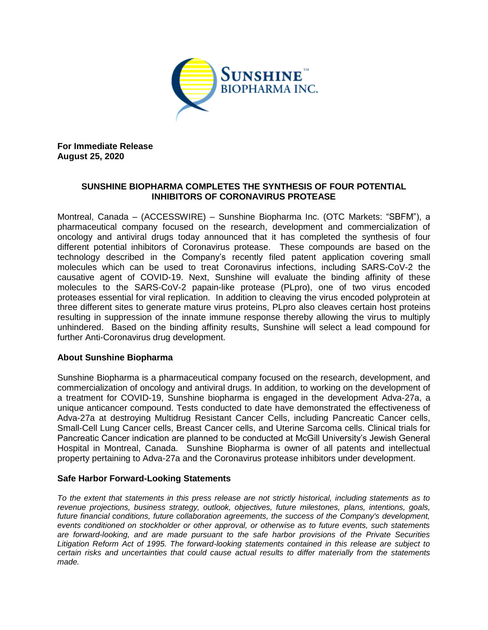

**For Immediate Release August 25, 2020**

## **SUNSHINE BIOPHARMA COMPLETES THE SYNTHESIS OF FOUR POTENTIAL INHIBITORS OF CORONAVIRUS PROTEASE**

Montreal, Canada – (ACCESSWIRE) – Sunshine Biopharma Inc. (OTC Markets: "SBFM"), a pharmaceutical company focused on the research, development and commercialization of oncology and antiviral drugs today announced that it has completed the synthesis of four different potential inhibitors of Coronavirus protease. These compounds are based on the technology described in the Company's recently filed patent application covering small molecules which can be used to treat Coronavirus infections, including SARS-CoV-2 the causative agent of COVID-19. Next, Sunshine will evaluate the binding affinity of these molecules to the SARS-CoV-2 papain-like protease (PLpro), one of two virus encoded proteases essential for viral replication. In addition to cleaving the virus encoded polyprotein at three different sites to generate mature virus proteins, PLpro also cleaves certain host proteins resulting in suppression of the innate immune response thereby allowing the virus to multiply unhindered. Based on the binding affinity results, Sunshine will select a lead compound for further Anti-Coronavirus drug development.

## **About Sunshine Biopharma**

Sunshine Biopharma is a pharmaceutical company focused on the research, development, and commercialization of oncology and antiviral drugs. In addition, to working on the development of a treatment for COVID-19, Sunshine biopharma is engaged in the development Adva-27a, a unique anticancer compound. Tests conducted to date have demonstrated the effectiveness of Adva-27a at destroying Multidrug Resistant Cancer Cells, including Pancreatic Cancer cells, Small-Cell Lung Cancer cells, Breast Cancer cells, and Uterine Sarcoma cells. Clinical trials for Pancreatic Cancer indication are planned to be conducted at McGill University's Jewish General Hospital in Montreal, Canada. Sunshine Biopharma is owner of all patents and intellectual property pertaining to Adva-27a and the Coronavirus protease inhibitors under development.

## **Safe Harbor Forward-Looking Statements**

*To the extent that statements in this press release are not strictly historical, including statements as to revenue projections, business strategy, outlook, objectives, future milestones, plans, intentions, goals, future financial conditions, future collaboration agreements, the success of the Company's development, events conditioned on stockholder or other approval, or otherwise as to future events, such statements are forward-looking, and are made pursuant to the safe harbor provisions of the Private Securities Litigation Reform Act of 1995. The forward-looking statements contained in this release are subject to certain risks and uncertainties that could cause actual results to differ materially from the statements made.*